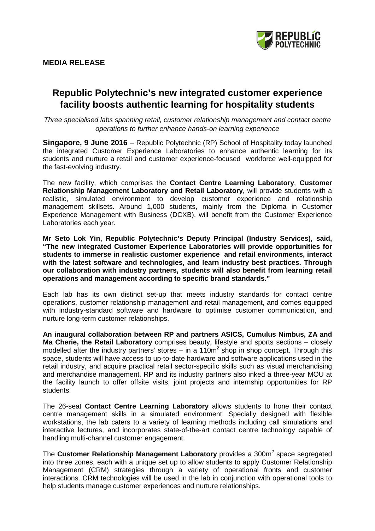

# **Republic Polytechnic's new integrated customer experience facility boosts authentic learning for hospitality students**

*Three specialised labs spanning retail, customer relationship management and contact centre operations to further enhance hands-on learning experience* 

**Singapore, 9 June 2016** – Republic Polytechnic (RP) School of Hospitality today launched the integrated Customer Experience Laboratories to enhance authentic learning for its students and nurture a retail and customer experience-focused workforce well-equipped for the fast-evolving industry.

The new facility, which comprises the **Contact Centre Learning Laboratory**, **Customer Relationship Management Laboratory and Retail Laboratory**, will provide students with a realistic, simulated environment to develop customer experience and relationship management skillsets. Around 1,000 students, mainly from the Diploma in Customer Experience Management with Business (DCXB), will benefit from the Customer Experience Laboratories each year.

**Mr Seto Lok Yin, Republic Polytechnic's Deputy Principal (Industry Services), said, "The new integrated Customer Experience Laboratories will provide opportunities for students to immerse in realistic customer experience and retail environments, interact with the latest software and technologies, and learn industry best practices. Through our collaboration with industry partners, students will also benefit from learning retail operations and management according to specific brand standards."**

Each lab has its own distinct set-up that meets industry standards for contact centre operations, customer relationship management and retail management, and comes equipped with industry-standard software and hardware to optimise customer communication, and nurture long-term customer relationships.

**An inaugural collaboration between RP and partners ASICS, Cumulus Nimbus, ZA and Ma Cherie, the Retail Laboratory** comprises beauty, lifestyle and sports sections – closely modelled after the industry partners' stores – in a  $110<sup>m²</sup>$  shop in shop concept. Through this space, students will have access to up-to-date hardware and software applications used in the retail industry, and acquire practical retail sector-specific skills such as visual merchandising and merchandise management. RP and its industry partners also inked a three-year MOU at the facility launch to offer offsite visits, joint projects and internship opportunities for RP students.

The 26-seat **Contact Centre Learning Laboratory** allows students to hone their contact centre management skills in a simulated environment. Specially designed with flexible workstations, the lab caters to a variety of learning methods including call simulations and interactive lectures, and incorporates state-of-the-art contact centre technology capable of handling multi-channel customer engagement.

The **Customer Relationship Management Laboratory** provides a 300m<sup>2</sup> space segregated into three zones, each with a unique set up to allow students to apply Customer Relationship Management (CRM) strategies through a variety of operational fronts and customer interactions. CRM technologies will be used in the lab in conjunction with operational tools to help students manage customer experiences and nurture relationships.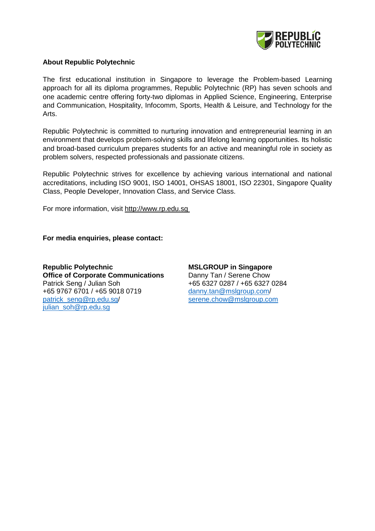

# **About Republic Polytechnic**

The first educational institution in Singapore to leverage the Problem-based Learning approach for all its diploma programmes, Republic Polytechnic (RP) has seven schools and one academic centre offering forty-two diplomas in Applied Science, Engineering, Enterprise and Communication, Hospitality, Infocomm, Sports, Health & Leisure, and Technology for the Arts.

Republic Polytechnic is committed to nurturing innovation and entrepreneurial learning in an environment that develops problem-solving skills and lifelong learning opportunities. Its holistic and broad-based curriculum prepares students for an active and meaningful role in society as problem solvers, respected professionals and passionate citizens.

Republic Polytechnic strives for excellence by achieving various international and national accreditations, including ISO 9001, ISO 14001, OHSAS 18001, ISO 22301, Singapore Quality Class, People Developer, Innovation Class, and Service Class.

For more information, visit [http://www.rp.edu.sg](http://www.rp.edu.sg/)

**For media enquiries, please contact:**

**Republic Polytechnic Office of Corporate Communications** Patrick Seng / Julian Soh +65 9767 6701 / +65 9018 0719 [patrick\\_seng@rp.edu.sg/](mailto:patrick_seng@rp.edu.sg) [julian\\_soh@rp.edu.sg](mailto:julian_soh@rp.edu.sg)

**MSLGROUP in Singapore** Danny Tan / Serene Chow +65 6327 0287 / +65 6327 0284 [danny.tan@mslgroup.com/](mailto:danny.tan@mslgroup.com) [serene.chow@mslgroup.com](mailto:serene.chow@mslgroup.com)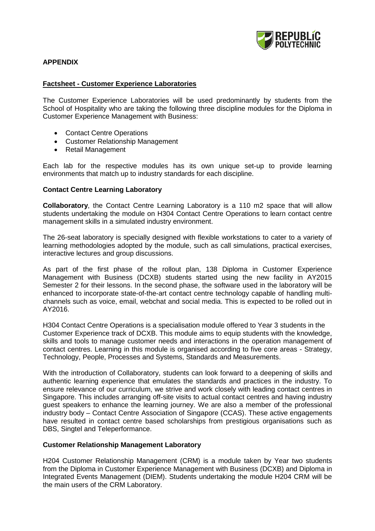

# **APPENDIX**

#### **Factsheet - Customer Experience Laboratories**

The Customer Experience Laboratories will be used predominantly by students from the School of Hospitality who are taking the following three discipline modules for the Diploma in Customer Experience Management with Business:

- Contact Centre Operations
- Customer Relationship Management
- Retail Management

Each lab for the respective modules has its own unique set-up to provide learning environments that match up to industry standards for each discipline.

### **Contact Centre Learning Laboratory**

**Collaboratory**, the Contact Centre Learning Laboratory is a 110 m2 space that will allow students undertaking the module on H304 Contact Centre Operations to learn contact centre management skills in a simulated industry environment.

The 26-seat laboratory is specially designed with flexible workstations to cater to a variety of learning methodologies adopted by the module, such as call simulations, practical exercises, interactive lectures and group discussions.

As part of the first phase of the rollout plan, 138 Diploma in Customer Experience Management with Business (DCXB) students started using the new facility in AY2015 Semester 2 for their lessons. In the second phase, the software used in the laboratory will be enhanced to incorporate state-of-the-art contact centre technology capable of handling multichannels such as voice, email, webchat and social media. This is expected to be rolled out in AY2016.

H304 Contact Centre Operations is a specialisation module offered to Year 3 students in the Customer Experience track of DCXB. This module aims to equip students with the knowledge, skills and tools to manage customer needs and interactions in the operation management of contact centres. Learning in this module is organised according to five core areas - Strategy, Technology, People, Processes and Systems, Standards and Measurements.

With the introduction of Collaboratory, students can look forward to a deepening of skills and authentic learning experience that emulates the standards and practices in the industry. To ensure relevance of our curriculum, we strive and work closely with leading contact centres in Singapore. This includes arranging off-site visits to actual contact centres and having industry guest speakers to enhance the learning journey. We are also a member of the professional industry body – Contact Centre Association of Singapore (CCAS). These active engagements have resulted in contact centre based scholarships from prestigious organisations such as DBS, Singtel and Teleperformance.

## **Customer Relationship Management Laboratory**

H204 Customer Relationship Management (CRM) is a module taken by Year two students from the Diploma in Customer Experience Management with Business (DCXB) and Diploma in Integrated Events Management (DIEM). Students undertaking the module H204 CRM will be the main users of the CRM Laboratory.